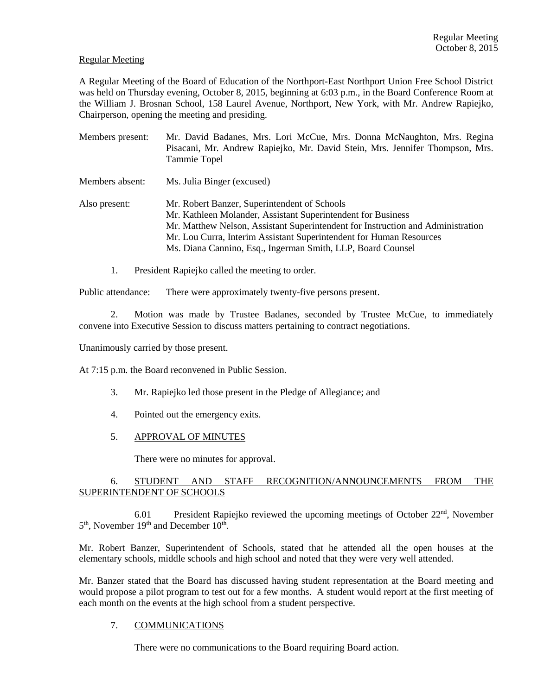### Regular Meeting

A Regular Meeting of the Board of Education of the Northport-East Northport Union Free School District was held on Thursday evening, October 8, 2015, beginning at 6:03 p.m., in the Board Conference Room at the William J. Brosnan School, 158 Laurel Avenue, Northport, New York, with Mr. Andrew Rapiejko, Chairperson, opening the meeting and presiding.

| Members present: | Mr. David Badanes, Mrs. Lori McCue, Mrs. Donna McNaughton, Mrs. Regina<br>Pisacani, Mr. Andrew Rapiejko, Mr. David Stein, Mrs. Jennifer Thompson, Mrs.<br>Tammie Topel                                                                                                                                                                |
|------------------|---------------------------------------------------------------------------------------------------------------------------------------------------------------------------------------------------------------------------------------------------------------------------------------------------------------------------------------|
| Members absent:  | Ms. Julia Binger (excused)                                                                                                                                                                                                                                                                                                            |
| Also present:    | Mr. Robert Banzer, Superintendent of Schools<br>Mr. Kathleen Molander, Assistant Superintendent for Business<br>Mr. Matthew Nelson, Assistant Superintendent for Instruction and Administration<br>Mr. Lou Curra, Interim Assistant Superintendent for Human Resources<br>Ms. Diana Cannino, Esq., Ingerman Smith, LLP, Board Counsel |

1. President Rapiejko called the meeting to order.

Public attendance: There were approximately twenty-five persons present.

2. Motion was made by Trustee Badanes, seconded by Trustee McCue, to immediately convene into Executive Session to discuss matters pertaining to contract negotiations.

Unanimously carried by those present.

At 7:15 p.m. the Board reconvened in Public Session.

- 3. Mr. Rapiejko led those present in the Pledge of Allegiance; and
- 4. Pointed out the emergency exits.
- 5. APPROVAL OF MINUTES

There were no minutes for approval.

## 6. STUDENT AND STAFF RECOGNITION/ANNOUNCEMENTS FROM THE SUPERINTENDENT OF SCHOOLS

 6.01 President Rapiejko reviewed the upcoming meetings of October 22nd, November 5<sup>th</sup>, November 19<sup>th</sup> and December 10<sup>th</sup>.

Mr. Robert Banzer, Superintendent of Schools, stated that he attended all the open houses at the elementary schools, middle schools and high school and noted that they were very well attended.

Mr. Banzer stated that the Board has discussed having student representation at the Board meeting and would propose a pilot program to test out for a few months. A student would report at the first meeting of each month on the events at the high school from a student perspective.

## 7. COMMUNICATIONS

There were no communications to the Board requiring Board action.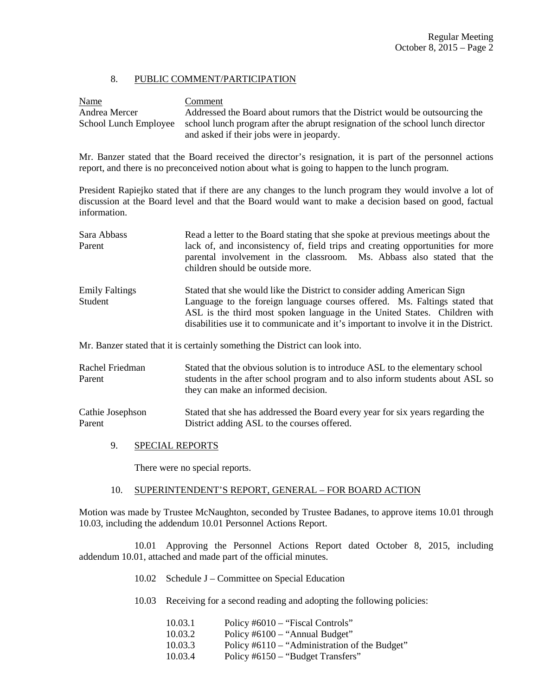## 8. PUBLIC COMMENT/PARTICIPATION

Name Comment Andrea Mercer Addressed the Board about rumors that the District would be outsourcing the School Lunch Employee school lunch program after the abrupt resignation of the school lunch director and asked if their jobs were in jeopardy.

Mr. Banzer stated that the Board received the director's resignation, it is part of the personnel actions report, and there is no preconceived notion about what is going to happen to the lunch program.

President Rapiejko stated that if there are any changes to the lunch program they would involve a lot of discussion at the Board level and that the Board would want to make a decision based on good, factual information.

| Sara Abbass<br>Parent            | Read a letter to the Board stating that she spoke at previous meetings about the<br>lack of, and inconsistency of, field trips and creating opportunities for more<br>parental involvement in the classroom. Ms. Abbass also stated that the<br>children should be outside more.                                            |
|----------------------------------|-----------------------------------------------------------------------------------------------------------------------------------------------------------------------------------------------------------------------------------------------------------------------------------------------------------------------------|
| <b>Emily Faltings</b><br>Student | Stated that she would like the District to consider adding American Sign<br>Language to the foreign language courses offered. Ms. Faltings stated that<br>ASL is the third most spoken language in the United States. Children with<br>disabilities use it to communicate and it's important to involve it in the District. |
|                                  | Mr. Banzer stated that it is certainly something the District can look into.                                                                                                                                                                                                                                                |

Rachel Friedman Stated that the obvious solution is to introduce ASL to the elementary school Parent students in the after school program and to also inform students about ASL so they can make an informed decision.

Cathie Josephson Stated that she has addressed the Board every year for six years regarding the Parent District adding ASL to the courses offered.

9. SPECIAL REPORTS

There were no special reports.

## 10. SUPERINTENDENT'S REPORT, GENERAL – FOR BOARD ACTION

Motion was made by Trustee McNaughton, seconded by Trustee Badanes, to approve items 10.01 through 10.03, including the addendum 10.01 Personnel Actions Report.

 10.01 Approving the Personnel Actions Report dated October 8, 2015, including addendum 10.01, attached and made part of the official minutes.

- 10.02 Schedule J Committee on Special Education
- 10.03 Receiving for a second reading and adopting the following policies:

| 10.03.1 | Policy #6010 – "Fiscal Controls"              |
|---------|-----------------------------------------------|
| 10.03.2 | Policy #6100 – "Annual Budget"                |
| 10.03.3 | Policy #6110 – "Administration of the Budget" |
| 10.03.4 | Policy #6150 – "Budget Transfers"             |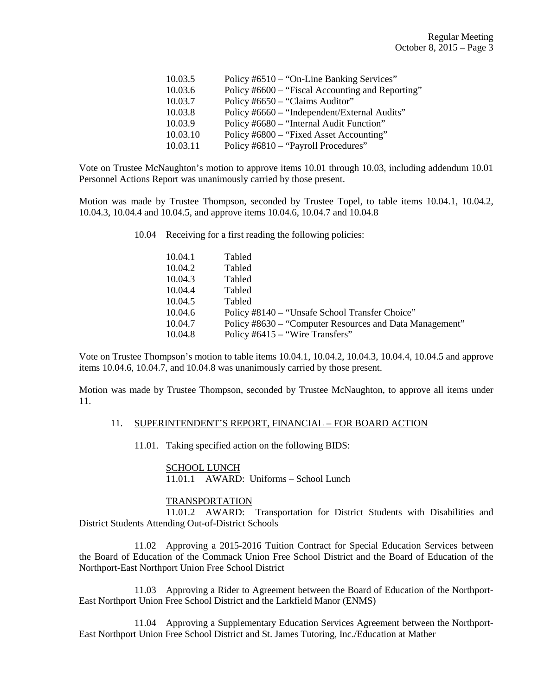| 10.03.5  | Policy #6510 – "On-Line Banking Services"        |
|----------|--------------------------------------------------|
| 10.03.6  | Policy #6600 – "Fiscal Accounting and Reporting" |
| 10.03.7  | Policy #6650 – "Claims Auditor"                  |
| 10.03.8  | Policy #6660 – "Independent/External Audits"     |
| 10.03.9  | Policy #6680 – "Internal Audit Function"         |
| 10.03.10 | Policy #6800 – "Fixed Asset Accounting"          |
| 10.03.11 | Policy #6810 – "Payroll Procedures"              |

Vote on Trustee McNaughton's motion to approve items 10.01 through 10.03, including addendum 10.01 Personnel Actions Report was unanimously carried by those present.

Motion was made by Trustee Thompson, seconded by Trustee Topel, to table items 10.04.1, 10.04.2, 10.04.3, 10.04.4 and 10.04.5, and approve items 10.04.6, 10.04.7 and 10.04.8

10.04 Receiving for a first reading the following policies:

| 10.04.1 | Tabled                                                  |
|---------|---------------------------------------------------------|
| 10.04.2 | Tabled                                                  |
| 10.04.3 | Tabled                                                  |
| 10.04.4 | Tabled                                                  |
| 10.04.5 | Tabled                                                  |
| 10.04.6 | Policy #8140 – "Unsafe School Transfer Choice"          |
| 10.04.7 | Policy #8630 – "Computer Resources and Data Management" |
| 10.04.8 | Policy $#6415 - "Wire Transfers"$                       |

Vote on Trustee Thompson's motion to table items 10.04.1, 10.04.2, 10.04.3, 10.04.4, 10.04.5 and approve items 10.04.6, 10.04.7, and 10.04.8 was unanimously carried by those present.

Motion was made by Trustee Thompson, seconded by Trustee McNaughton, to approve all items under 11.

#### 11. SUPERINTENDENT'S REPORT, FINANCIAL – FOR BOARD ACTION

11.01. Taking specified action on the following BIDS:

## SCHOOL LUNCH 11.01.1 AWARD: Uniforms – School Lunch

#### **TRANSPORTATION**

 11.01.2 AWARD: Transportation for District Students with Disabilities and District Students Attending Out-of-District Schools

 11.02 Approving a 2015-2016 Tuition Contract for Special Education Services between the Board of Education of the Commack Union Free School District and the Board of Education of the Northport-East Northport Union Free School District

 11.03 Approving a Rider to Agreement between the Board of Education of the Northport-East Northport Union Free School District and the Larkfield Manor (ENMS)

 11.04 Approving a Supplementary Education Services Agreement between the Northport-East Northport Union Free School District and St. James Tutoring, Inc./Education at Mather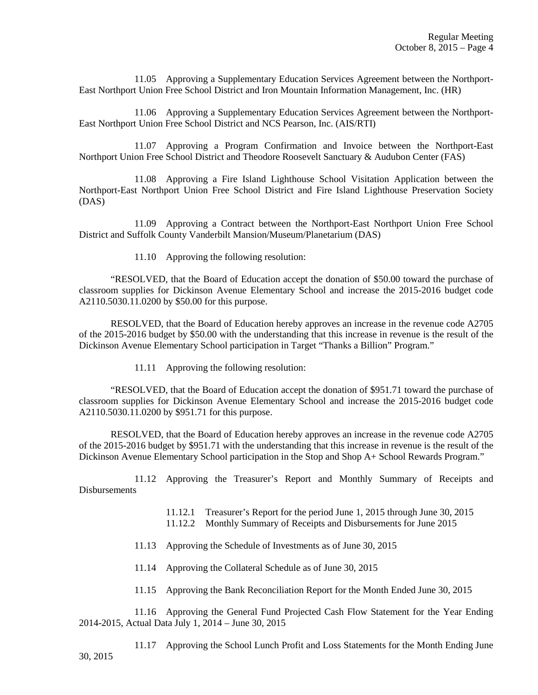11.05 Approving a Supplementary Education Services Agreement between the Northport-East Northport Union Free School District and Iron Mountain Information Management, Inc. (HR)

 11.06 Approving a Supplementary Education Services Agreement between the Northport-East Northport Union Free School District and NCS Pearson, Inc. (AIS/RTI)

 11.07 Approving a Program Confirmation and Invoice between the Northport-East Northport Union Free School District and Theodore Roosevelt Sanctuary & Audubon Center (FAS)

 11.08 Approving a Fire Island Lighthouse School Visitation Application between the Northport-East Northport Union Free School District and Fire Island Lighthouse Preservation Society (DAS)

 11.09 Approving a Contract between the Northport-East Northport Union Free School District and Suffolk County Vanderbilt Mansion/Museum/Planetarium (DAS)

11.10 Approving the following resolution:

 "RESOLVED, that the Board of Education accept the donation of \$50.00 toward the purchase of classroom supplies for Dickinson Avenue Elementary School and increase the 2015-2016 budget code A2110.5030.11.0200 by \$50.00 for this purpose.

 RESOLVED, that the Board of Education hereby approves an increase in the revenue code A2705 of the 2015-2016 budget by \$50.00 with the understanding that this increase in revenue is the result of the Dickinson Avenue Elementary School participation in Target "Thanks a Billion" Program."

11.11 Approving the following resolution:

 "RESOLVED, that the Board of Education accept the donation of \$951.71 toward the purchase of classroom supplies for Dickinson Avenue Elementary School and increase the 2015-2016 budget code A2110.5030.11.0200 by \$951.71 for this purpose.

 RESOLVED, that the Board of Education hereby approves an increase in the revenue code A2705 of the 2015-2016 budget by \$951.71 with the understanding that this increase in revenue is the result of the Dickinson Avenue Elementary School participation in the Stop and Shop A+ School Rewards Program."

 11.12 Approving the Treasurer's Report and Monthly Summary of Receipts and Disbursements

- 11.12.1 Treasurer's Report for the period June 1, 2015 through June 30, 2015
- 11.12.2 Monthly Summary of Receipts and Disbursements for June 2015
- 11.13 Approving the Schedule of Investments as of June 30, 2015
- 11.14 Approving the Collateral Schedule as of June 30, 2015
- 11.15 Approving the Bank Reconciliation Report for the Month Ended June 30, 2015

 11.16 Approving the General Fund Projected Cash Flow Statement for the Year Ending 2014-2015, Actual Data July 1, 2014 – June 30, 2015

 11.17 Approving the School Lunch Profit and Loss Statements for the Month Ending June 30, 2015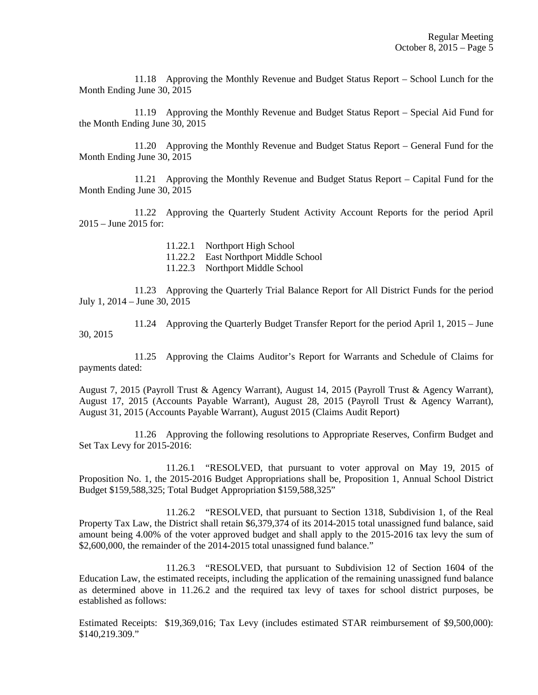11.18 Approving the Monthly Revenue and Budget Status Report – School Lunch for the Month Ending June 30, 2015

 11.19 Approving the Monthly Revenue and Budget Status Report – Special Aid Fund for the Month Ending June 30, 2015

 11.20 Approving the Monthly Revenue and Budget Status Report – General Fund for the Month Ending June 30, 2015

 11.21 Approving the Monthly Revenue and Budget Status Report – Capital Fund for the Month Ending June 30, 2015

 11.22 Approving the Quarterly Student Activity Account Reports for the period April 2015 – June 2015 for:

11.22.1 Northport High School

11.22.2 East Northport Middle School

11.22.3 Northport Middle School

 11.23 Approving the Quarterly Trial Balance Report for All District Funds for the period July 1, 2014 – June 30, 2015

 11.24 Approving the Quarterly Budget Transfer Report for the period April 1, 2015 – June 30, 2015

 11.25 Approving the Claims Auditor's Report for Warrants and Schedule of Claims for payments dated:

August 7, 2015 (Payroll Trust & Agency Warrant), August 14, 2015 (Payroll Trust & Agency Warrant), August 17, 2015 (Accounts Payable Warrant), August 28, 2015 (Payroll Trust & Agency Warrant), August 31, 2015 (Accounts Payable Warrant), August 2015 (Claims Audit Report)

 11.26 Approving the following resolutions to Appropriate Reserves, Confirm Budget and Set Tax Levy for 2015-2016:

 11.26.1 "RESOLVED, that pursuant to voter approval on May 19, 2015 of Proposition No. 1, the 2015-2016 Budget Appropriations shall be, Proposition 1, Annual School District Budget \$159,588,325; Total Budget Appropriation \$159,588,325"

 11.26.2 "RESOLVED, that pursuant to Section 1318, Subdivision 1, of the Real Property Tax Law, the District shall retain \$6,379,374 of its 2014-2015 total unassigned fund balance, said amount being 4.00% of the voter approved budget and shall apply to the 2015-2016 tax levy the sum of \$2,600,000, the remainder of the 2014-2015 total unassigned fund balance."

 11.26.3 "RESOLVED, that pursuant to Subdivision 12 of Section 1604 of the Education Law, the estimated receipts, including the application of the remaining unassigned fund balance as determined above in 11.26.2 and the required tax levy of taxes for school district purposes, be established as follows:

Estimated Receipts: \$19,369,016; Tax Levy (includes estimated STAR reimbursement of \$9,500,000): \$140,219.309."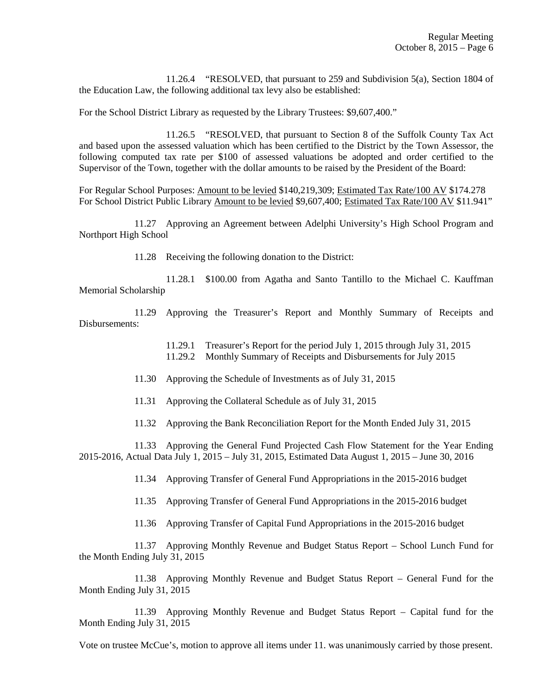11.26.4 "RESOLVED, that pursuant to 259 and Subdivision 5(a), Section 1804 of the Education Law, the following additional tax levy also be established:

For the School District Library as requested by the Library Trustees: \$9,607,400."

 11.26.5 "RESOLVED, that pursuant to Section 8 of the Suffolk County Tax Act and based upon the assessed valuation which has been certified to the District by the Town Assessor, the following computed tax rate per \$100 of assessed valuations be adopted and order certified to the Supervisor of the Town, together with the dollar amounts to be raised by the President of the Board:

For Regular School Purposes: Amount to be levied \$140,219,309; Estimated Tax Rate/100 AV \$174.278 For School District Public Library Amount to be levied \$9,607,400; Estimated Tax Rate/100 AV \$11.941"

 11.27 Approving an Agreement between Adelphi University's High School Program and Northport High School

11.28 Receiving the following donation to the District:

 11.28.1 \$100.00 from Agatha and Santo Tantillo to the Michael C. Kauffman Memorial Scholarship

 11.29 Approving the Treasurer's Report and Monthly Summary of Receipts and Disbursements:

> 11.29.1 Treasurer's Report for the period July 1, 2015 through July 31, 2015 11.29.2 Monthly Summary of Receipts and Disbursements for July 2015

11.30 Approving the Schedule of Investments as of July 31, 2015

11.31 Approving the Collateral Schedule as of July 31, 2015

11.32 Approving the Bank Reconciliation Report for the Month Ended July 31, 2015

 11.33 Approving the General Fund Projected Cash Flow Statement for the Year Ending 2015-2016, Actual Data July 1, 2015 – July 31, 2015, Estimated Data August 1, 2015 – June 30, 2016

11.34 Approving Transfer of General Fund Appropriations in the 2015-2016 budget

11.35 Approving Transfer of General Fund Appropriations in the 2015-2016 budget

11.36 Approving Transfer of Capital Fund Appropriations in the 2015-2016 budget

 11.37 Approving Monthly Revenue and Budget Status Report – School Lunch Fund for the Month Ending July 31, 2015

 11.38 Approving Monthly Revenue and Budget Status Report – General Fund for the Month Ending July 31, 2015

 11.39 Approving Monthly Revenue and Budget Status Report – Capital fund for the Month Ending July 31, 2015

Vote on trustee McCue's, motion to approve all items under 11. was unanimously carried by those present.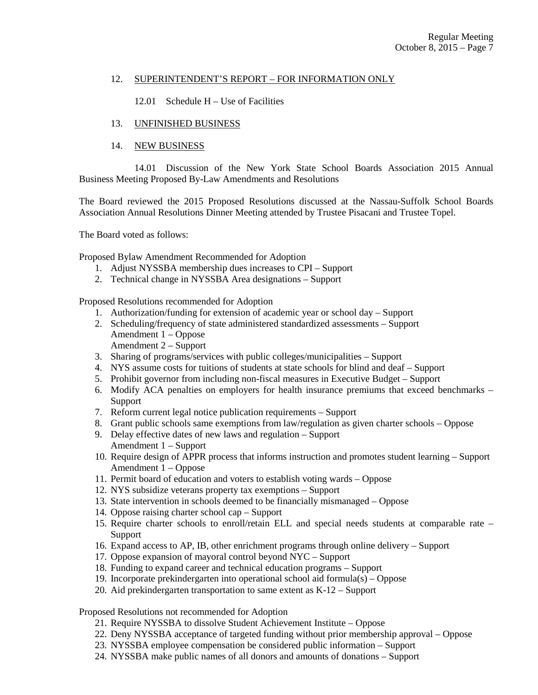## 12. SUPERINTENDENT'S REPORT – FOR INFORMATION ONLY

12.01 Schedule H – Use of Facilities

# 13. UNFINISHED BUSINESS

# 14. NEW BUSINESS

 14.01 Discussion of the New York State School Boards Association 2015 Annual Business Meeting Proposed By-Law Amendments and Resolutions

The Board reviewed the 2015 Proposed Resolutions discussed at the Nassau-Suffolk School Boards Association Annual Resolutions Dinner Meeting attended by Trustee Pisacani and Trustee Topel.

The Board voted as follows:

Proposed Bylaw Amendment Recommended for Adoption

- 1. Adjust NYSSBA membership dues increases to CPI Support
- 2. Technical change in NYSSBA Area designations Support

Proposed Resolutions recommended for Adoption

- 1. Authorization/funding for extension of academic year or school day Support
- 2. Scheduling/frequency of state administered standardized assessments Support Amendment 1 – Oppose
	- Amendment 2 Support
- 3. Sharing of programs/services with public colleges/municipalities Support
- 4. NYS assume costs for tuitions of students at state schools for blind and deaf Support
- 5. Prohibit governor from including non-fiscal measures in Executive Budget Support
- 6. Modify ACA penalties on employers for health insurance premiums that exceed benchmarks Support
- 7. Reform current legal notice publication requirements Support
- 8. Grant public schools same exemptions from law/regulation as given charter schools Oppose
- 9. Delay effective dates of new laws and regulation Support Amendment 1 – Support
- 10. Require design of APPR process that informs instruction and promotes student learning Support Amendment 1 – Oppose
- 11. Permit board of education and voters to establish voting wards Oppose
- 12. NYS subsidize veterans property tax exemptions Support
- 13. State intervention in schools deemed to be financially mismanaged Oppose
- 14. Oppose raising charter school cap Support
- 15. Require charter schools to enroll/retain ELL and special needs students at comparable rate Support
- 16. Expand access to AP, IB, other enrichment programs through online delivery Support
- 17. Oppose expansion of mayoral control beyond NYC Support
- 18. Funding to expand career and technical education programs Support
- 19. Incorporate prekindergarten into operational school aid formula(s) Oppose
- 20. Aid prekindergarten transportation to same extent as K-12 Support

Proposed Resolutions not recommended for Adoption

- 21. Require NYSSBA to dissolve Student Achievement Institute Oppose
- 22. Deny NYSSBA acceptance of targeted funding without prior membership approval Oppose
- 23. NYSSBA employee compensation be considered public information Support
- 24. NYSSBA make public names of all donors and amounts of donations Support